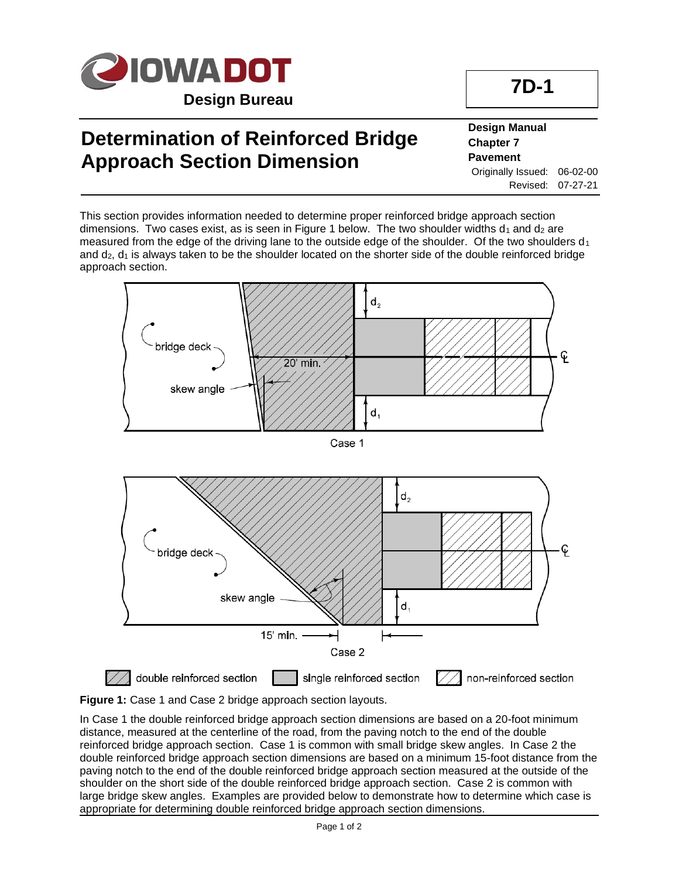

## **Determination of Reinforced Bridge Approach Section Dimension**

**Design Manual Chapter 7 Pavement** Originally Issued: 06-02-00 Revised: 07-27-21

This section provides information needed to determine proper reinforced bridge approach section dimensions. Two cases exist, as is seen in Figure 1 below. The two shoulder widths  $d_1$  and  $d_2$  are measured from the edge of the driving lane to the outside edge of the shoulder. Of the two shoulders  $d_1$ and  $d_2$ ,  $d_1$  is always taken to be the shoulder located on the shorter side of the double reinforced bridge approach section.





In Case 1 the double reinforced bridge approach section dimensions are based on a 20-foot minimum distance, measured at the centerline of the road, from the paving notch to the end of the double reinforced bridge approach section. Case 1 is common with small bridge skew angles. In Case 2 the double reinforced bridge approach section dimensions are based on a minimum 15-foot distance from the paving notch to the end of the double reinforced bridge approach section measured at the outside of the shoulder on the short side of the double reinforced bridge approach section. Case 2 is common with large bridge skew angles. Examples are provided below to demonstrate how to determine which case is appropriate for determining double reinforced bridge approach section dimensions.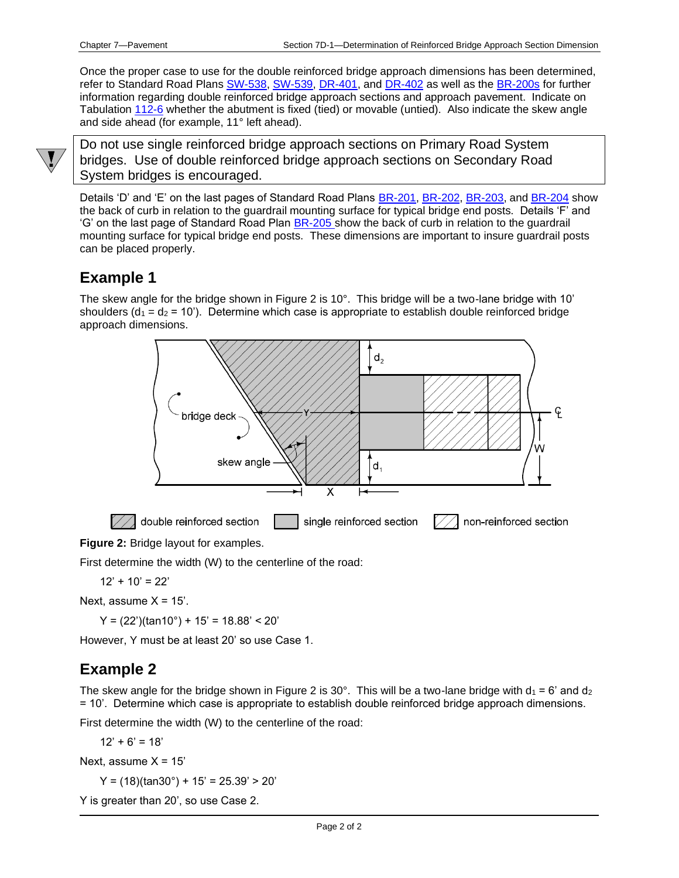Once the proper case to use for the double reinforced bridge approach dimensions has been determined, refer to Standard Road Plans [SW-538,](../SRP/IndividualStandards/sw538.pdf) [SW-539,](../SRP/IndividualStandards/sw539.pdf) [DR-401,](../SRP/IndividualStandards/dr401.pdf) and [DR-402](../SRP/IndividualStandards/dr402.pdf) as well as th[e BR-200s](../stdplne_br) for further information regarding double reinforced bridge approach sections and approach pavement. Indicate on Tabulation [112-6](../tnt/PDFsandWebFiles/IndividualPDFs/0112-06.pdf) whether the abutment is fixed (tied) or movable (untied). Also indicate the skew angle and side ahead (for example, 11° left ahead).



Do not use single reinforced bridge approach sections on Primary Road System bridges. Use of double reinforced bridge approach sections on Secondary Road System bridges is encouraged.

Details 'D' and 'E' on the last pages of Standard Road Plans [BR-201,](../SRP/IndividualStandards/br201.pdf) [BR-202,](../SRP/IndividualStandards/br202.pdf) [BR-203,](../SRP/IndividualStandards/br203.pdf) and [BR-204](../SRP/IndividualStandards/br204.pdf) show the back of curb in relation to the guardrail mounting surface for typical bridge end posts. Details 'F' and 'G' on the last page of Standard Road Plan **BR-205** show the back of curb in relation to the guardrail mounting surface for typical bridge end posts. These dimensions are important to insure guardrail posts can be placed properly.

### **Example 1**

The skew angle for the bridge shown in Figure 2 is 10°. This bridge will be a two-lane bridge with 10' shoulders ( $d_1 = d_2 = 10$ ). Determine which case is appropriate to establish double reinforced bridge approach dimensions.



**Figure 2:** Bridge layout for examples.

First determine the width (W) to the centerline of the road:

$$
12' + 10' = 22'
$$

Next, assume  $X = 15$ '.

 $Y = (22')$ (tan10°) + 15' = 18.88' < 20'

However, Y must be at least 20' so use Case 1.

#### **Example 2**

The skew angle for the bridge shown in Figure 2 is 30°. This will be a two-lane bridge with  $d_1 = 6'$  and  $d_2$ = 10'. Determine which case is appropriate to establish double reinforced bridge approach dimensions.

First determine the width (W) to the centerline of the road:

 $12' + 6' = 18'$ 

Next, assume  $X = 15'$ 

 $Y = (18)(\text{tan}30^\circ) + 15' = 25.39' > 20'$ 

Y is greater than 20', so use Case 2.